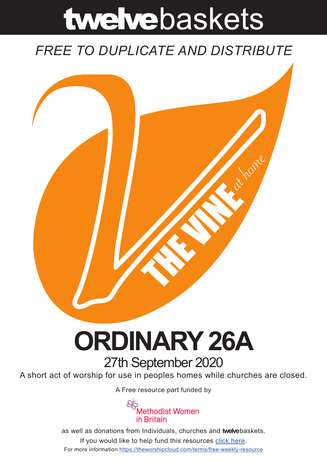# twelvebaskets

### *FREE TO DUPLICATE AND DISTRIBUTE*



## **ORDINARY 26A** 27th September 2020

A short act of worship for use in peoples homes while churches are closed.

A [Free resource part funded](https://mwib.org.uk) by



as well as donations from Individuals, churches and **twelve**baskets. If you would like to help fund this resources [click here]( https://theworshipcloud.com/tags/donation). For more information<https://theworshipcloud.com/terms/free-weekly-resource>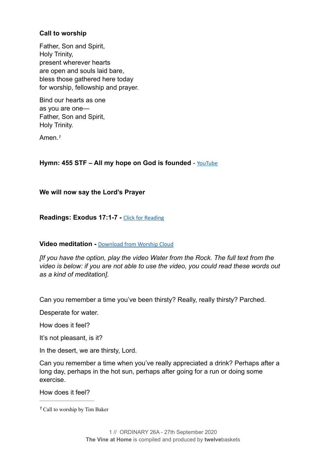#### **Call to worship**

Father, Son and Spirit, Holy Trinity, present wherever hearts are open and souls laid bare, bless those gathered here today for worship, fellowship and prayer.

Bind our hearts as one as you are one— Father, Son and Spirit, Holy Trinity.

<span id="page-1-1"></span>Amen.*[1](#page-1-0)*

#### Hymn: 455 STF – All my hope on God is founded - [YouTube](https://www.youtube.com/watch?v=hm7P3xWGa1U)

**We will now say the Lord's Prayer** 

**Readings: Exodus 17:1-7 -** [Click for Reading](https://www.biblegateway.com/passage/?search=Exodus+17:1-7&version=NRSV)

#### **Video meditation - [Download from Worship Cloud](https://theworshipcloud.com/view/store/twelvebaskets-vine-video-water-from-the-rock-the-vine-video-27th-september-2020)**

*[If you have the option, play the video Water from the Rock. The full text from the video is below: if you are not able to use the video, you could read these words out as a kind of meditation].* 

Can you remember a time you've been thirsty? Really, really thirsty? Parched.

Desperate for water.

How does it feel?

It's not pleasant, is it?

In the desert, we are thirsty, Lord.

Can you remember a time when you've really appreciated a drink? Perhaps after a long day, perhaps in the hot sun, perhaps after going for a run or doing some exercise.

How does it feel?

<span id="page-1-0"></span>Call to worship by Tim Baker *[1](#page-1-1)*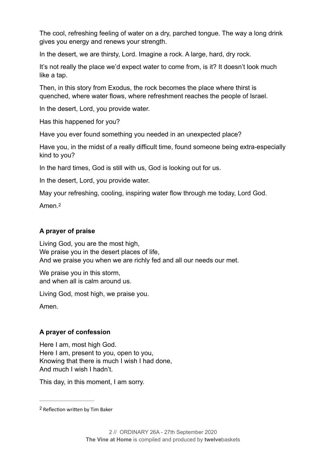The cool, refreshing feeling of water on a dry, parched tongue. The way a long drink gives you energy and renews your strength.

In the desert, we are thirsty, Lord. Imagine a rock. A large, hard, dry rock.

It's not really the place we'd expect water to come from, is it? It doesn't look much like a tap.

Then, in this story from Exodus, the rock becomes the place where thirst is quenched, where water flows, where refreshment reaches the people of Israel.

In the desert, Lord, you provide water.

Has this happened for you?

Have you ever found something you needed in an unexpected place?

Have you, in the midst of a really difficult time, found someone being extra-especially kind to you?

In the hard times, God is still with us, God is looking out for us.

In the desert, Lord, you provide water.

May your refreshing, cooling, inspiring water flow through me today, Lord God.

<span id="page-2-1"></span>Amen<sup>[2](#page-2-0)</sup>

#### **A prayer of praise**

Living God, you are the most high, We praise you in the desert places of life. And we praise you when we are richly fed and all our needs our met.

We praise you in this storm, and when all is calm around us.

Living God, most high, we praise you.

Amen.

#### **A prayer of confession**

Here I am, most high God. Here I am, present to you, open to you, Knowing that there is much I wish I had done, And much I wish I hadn't.

This day, in this moment, I am sorry.

<span id="page-2-0"></span><sup>&</sup>lt;sup>[2](#page-2-1)</sup> Reflection written by Tim Baker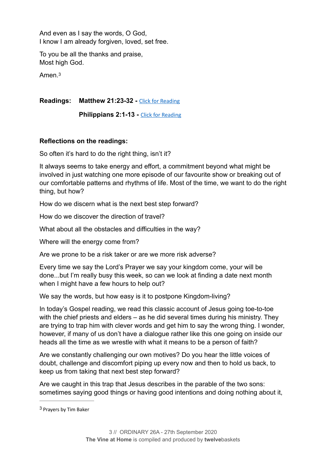And even as I say the words, O God, I know I am already forgiven, loved, set free.

To you be all the thanks and praise, Most high God.

<span id="page-3-1"></span>Amen.[3](#page-3-0)

**Readings: Matthew 21:23-32 -** [Click for Reading](https://www.biblegateway.com/passage/?search=Matthew+21:23-32&version=NRSV)

**Philippians 2:1-13 - [Click for Reading](https://www.biblegateway.com/passage/?search=Philippians+2:1-13&version=NRSV)** 

#### **Reflections on the readings:**

So often it's hard to do the right thing, isn't it?

It always seems to take energy and effort, a commitment beyond what might be involved in just watching one more episode of our favourite show or breaking out of our comfortable patterns and rhythms of life. Most of the time, we want to do the right thing, but how?

How do we discern what is the next best step forward?

How do we discover the direction of travel?

What about all the obstacles and difficulties in the way?

Where will the energy come from?

Are we prone to be a risk taker or are we more risk adverse?

Every time we say the Lord's Prayer we say your kingdom come, your will be done...but I'm really busy this week, so can we look at finding a date next month when I might have a few hours to help out?

We say the words, but how easy is it to postpone Kingdom-living?

In today's Gospel reading, we read this classic account of Jesus going toe-to-toe with the chief priests and elders – as he did several times during his ministry. They are trying to trap him with clever words and get him to say the wrong thing. I wonder, however, if many of us don't have a dialogue rather like this one going on inside our heads all the time as we wrestle with what it means to be a person of faith?

Are we constantly challenging our own motives? Do you hear the little voices of doubt, challenge and discomfort piping up every now and then to hold us back, to keep us from taking that next best step forward?

Are we caught in this trap that Jesus describes in the parable of the two sons: sometimes saying good things or having good intentions and doing nothing about it,

<span id="page-3-0"></span><sup>&</sup>lt;sup>[3](#page-3-1)</sup> Prayers by Tim Baker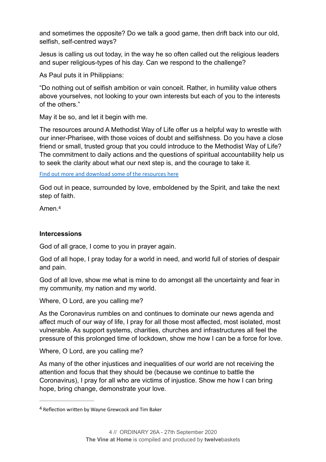and sometimes the opposite? Do we talk a good game, then drift back into our old, selfish, self-centred ways?

Jesus is calling us out today, in the way he so often called out the religious leaders and super religious-types of his day. Can we respond to the challenge?

As Paul puts it in Philippians:

"Do nothing out of selfish ambition or vain conceit. Rather, in humility value others above yourselves, not looking to your own interests but each of you to the interests of the others."

May it be so, and let it begin with me.

The resources around A Methodist Way of Life offer us a helpful way to wrestle with our inner-Pharisee, with those voices of doubt and selfishness. Do you have a close friend or small, trusted group that you could introduce to the Methodist Way of Life? The commitment to daily actions and the questions of spiritual accountability help us to seek the clarity about what our next step is, and the courage to take it.

[Find out more and download some of the resources here](https://www.methodist.org.uk/our-faith/life-and-faith/a-methodist-way-of-life/)

God out in peace, surrounded by love, emboldened by the Spirit, and take the next step of faith.

<span id="page-4-1"></span>Amen.[4](#page-4-0)

#### **Intercessions**

God of all grace, I come to you in prayer again.

God of all hope, I pray today for a world in need, and world full of stories of despair and pain.

God of all love, show me what is mine to do amongst all the uncertainty and fear in my community, my nation and my world.

Where, O Lord, are you calling me?

As the Coronavirus rumbles on and continues to dominate our news agenda and affect much of our way of life, I pray for all those most affected, most isolated, most vulnerable. As support systems, charities, churches and infrastructures all feel the pressure of this prolonged time of lockdown, show me how I can be a force for love.

Where, O Lord, are you calling me?

As many of the other injustices and inequalities of our world are not receiving the attention and focus that they should be (because we continue to battle the Coronavirus), I pray for all who are victims of injustice. Show me how I can bring hope, bring change, demonstrate your love.

<span id="page-4-0"></span><sup>&</sup>lt;sup>[4](#page-4-1)</sup> Reflection written by Wayne Grewcock and Tim Baker